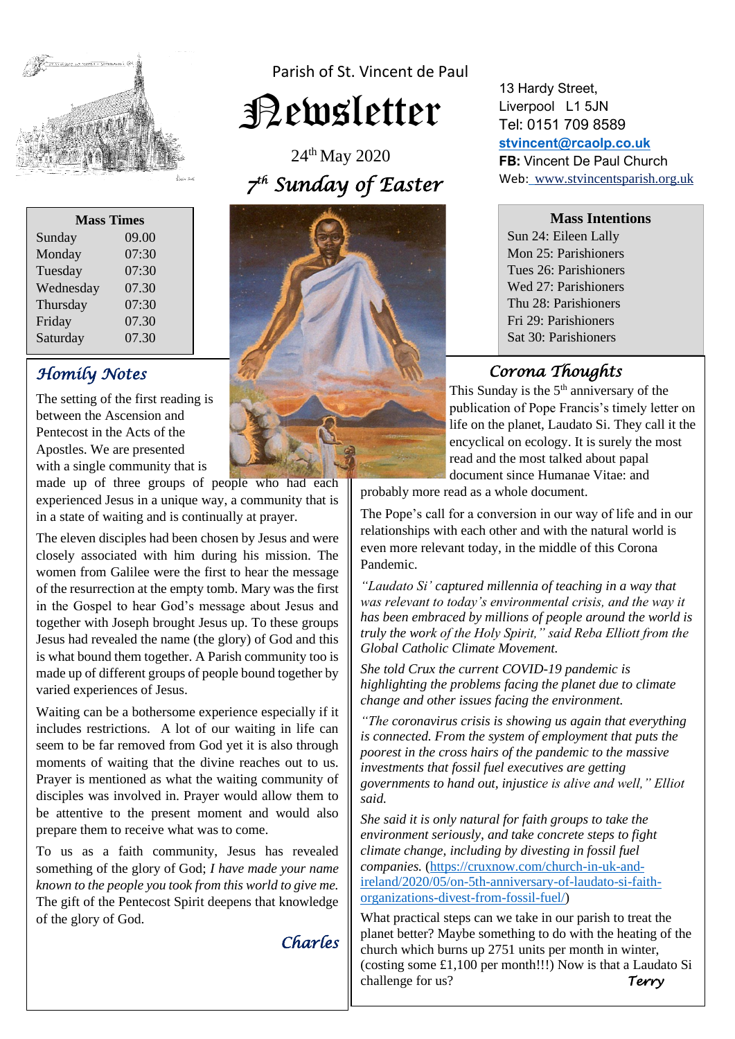

Parish of St. Vincent de Paul

Newsletter

24th May 2020  *7 th Sunday of Easter* 

| <b>Mass Times</b> |       |  |
|-------------------|-------|--|
| Sunday            | 09.00 |  |
| Monday            | 07:30 |  |
| Tuesday           | 07:30 |  |
| Wednesday         | 07.30 |  |
| Thursday          | 07:30 |  |
| Friday            | 07.30 |  |
| Saturday          | 07.30 |  |
|                   |       |  |

# *Homily Notes*

The setting of the first reading is between the Ascension and Pentecost in the Acts of the Apostles. We are presented with a single community that is

made up of three groups of people who had each experienced Jesus in a unique way, a community that is in a state of waiting and is continually at prayer.

The eleven disciples had been chosen by Jesus and were closely associated with him during his mission. The women from Galilee were the first to hear the message of the resurrection at the empty tomb. Mary was the first in the Gospel to hear God's message about Jesus and together with Joseph brought Jesus up. To these groups Jesus had revealed the name (the glory) of God and this is what bound them together. A Parish community too is made up of different groups of people bound together by varied experiences of Jesus.

Waiting can be a bothersome experience especially if it includes restrictions. A lot of our waiting in life can seem to be far removed from God yet it is also through moments of waiting that the divine reaches out to us. Prayer is mentioned as what the waiting community of disciples was involved in. Prayer would allow them to be attentive to the present moment and would also prepare them to receive what was to come.

To us as a faith community, Jesus has revealed something of the glory of God; *I have made your name known to the people you took from this world to give me.*  The gift of the Pentecost Spirit deepens that knowledge of the glory of God.

*Charles* 

13 Hardy Street, Liverpool L1 5JN Tel: 0151 709 8589 **[stvincent@rcaolp.co.uk](mailto:stvincent@rcaolp.co.uk) FB:** Vincent De Paul Church Web: www.stvincentsparish.org.uk

**Mass Intentions**

Sun 24: Eileen Lally Mon 25: Parishioners Tues 26: Parishioners Wed 27: Parishioners Thu 28: Parishioners Fri 29: Parishioners Sat 30: Parishioners

## *Corona Thoughts*

This Sunday is the  $5<sup>th</sup>$  anniversary of the publication of Pope Francis's timely letter on life on the planet, Laudato Si. They call it the encyclical on ecology. It is surely the most read and the most talked about papal document since Humanae Vitae: and

probably more read as a whole document.

The Pope's call for a conversion in our way of life and in our relationships with each other and with the natural world is even more relevant today, in the middle of this Corona Pandemic.

*"Laudato Si' captured millennia of teaching in a way that was relevant to today's environmental crisis, and the way it has been embraced by millions of people around the world is truly the work of the Holy Spirit," said Reba Elliott from the Global Catholic Climate Movement.*

*She told Crux the current COVID-19 pandemic is highlighting the problems facing the planet due to climate change and other issues facing the environment.*

*"The coronavirus crisis is showing us again that everything is connected. From the system of employment that puts the poorest in the cross hairs of the pandemic to the massive investments that fossil fuel executives are getting governments to hand out, injustice is alive and well," Elliot said.*

*She said it is only natural for faith groups to take the environment seriously, and take concrete steps to fight climate change, including by divesting in fossil fuel companies.* [\(https://cruxnow.com/church-in-uk-and](https://cruxnow.com/church-in-uk-and-ireland/2020/05/on-5th-anniversary-of-laudato-si-faith-organizations-divest-from-fossil-fuel/)[ireland/2020/05/on-5th-anniversary-of-laudato-si-faith](https://cruxnow.com/church-in-uk-and-ireland/2020/05/on-5th-anniversary-of-laudato-si-faith-organizations-divest-from-fossil-fuel/)[organizations-divest-from-fossil-fuel/\)](https://cruxnow.com/church-in-uk-and-ireland/2020/05/on-5th-anniversary-of-laudato-si-faith-organizations-divest-from-fossil-fuel/)

What practical steps can we take in our parish to treat the planet better? Maybe something to do with the heating of the church which burns up 2751 units per month in winter, (costing some £1,100 per month!!!) Now is that a Laudato Si challenge for us? *Terry*